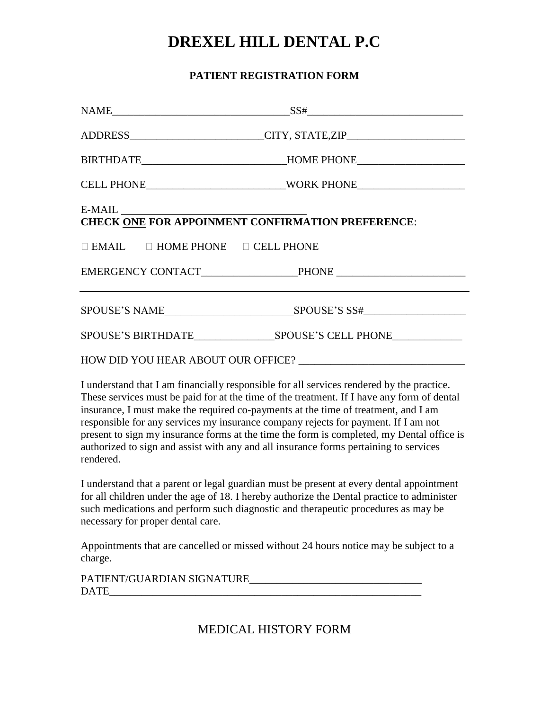# **DREXEL HILL DENTAL P.C**

## **PATIENT REGISTRATION FORM**

|                                                                      | $NAME$ SS#                                                                       |  |  |
|----------------------------------------------------------------------|----------------------------------------------------------------------------------|--|--|
|                                                                      | ADDRESS________________________CITY, STATE,ZIP__________________________________ |  |  |
|                                                                      | BIRTHDATE______________________________HOME PHONE_______________________________ |  |  |
|                                                                      |                                                                                  |  |  |
| $E-MAIL$<br><b>CHECK ONE FOR APPOINMENT CONFIRMATION PREFERENCE:</b> |                                                                                  |  |  |
| $\Box$ EMAIL $\Box$ HOME PHONE $\Box$ CELL PHONE                     |                                                                                  |  |  |
|                                                                      |                                                                                  |  |  |
|                                                                      |                                                                                  |  |  |
|                                                                      |                                                                                  |  |  |
|                                                                      |                                                                                  |  |  |

I understand that I am financially responsible for all services rendered by the practice. These services must be paid for at the time of the treatment. If I have any form of dental insurance, I must make the required co-payments at the time of treatment, and I am responsible for any services my insurance company rejects for payment. If I am not present to sign my insurance forms at the time the form is completed, my Dental office is authorized to sign and assist with any and all insurance forms pertaining to services rendered.

I understand that a parent or legal guardian must be present at every dental appointment for all children under the age of 18. I hereby authorize the Dental practice to administer such medications and perform such diagnostic and therapeutic procedures as may be necessary for proper dental care.

Appointments that are cancelled or missed without 24 hours notice may be subject to a charge.

| PATIENT/GUARDIAN SIGNATURE |  |
|----------------------------|--|
| <b>DATE</b>                |  |

MEDICAL HISTORY FORM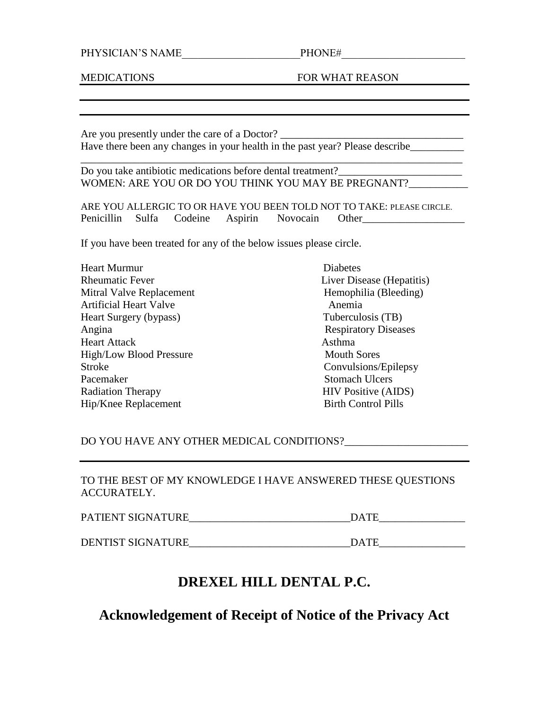#### PHYSICIAN'S NAME\_\_\_\_\_\_\_\_\_\_\_\_\_\_\_\_\_\_\_\_\_\_PHONE#\_\_\_\_\_\_\_\_\_\_\_\_\_\_\_\_\_\_\_\_\_\_\_

MEDICATIONS FOR WHAT REASON

Are you presently under the care of a Doctor? Have there been any changes in your health in the past year? Please describe\_\_\_\_\_\_\_\_\_\_

Do you take antibiotic medications before dental treatment? WOMEN: ARE YOU OR DO YOU THINK YOU MAY BE PREGNANT?

ARE YOU ALLERGIC TO OR HAVE YOU BEEN TOLD NOT TO TAKE: PLEASE CIRCLE. Penicillin Sulfa Codeine Aspirin Novocain Other\_\_\_\_\_\_\_\_\_\_\_\_\_\_\_\_\_\_\_

\_\_\_\_\_\_\_\_\_\_\_\_\_\_\_\_\_\_\_\_\_\_\_\_\_\_\_\_\_\_\_\_\_\_\_\_\_\_\_\_\_\_\_\_\_\_\_\_\_\_\_\_\_\_\_\_\_\_\_\_\_\_\_\_\_\_\_\_\_\_\_

If you have been treated for any of the below issues please circle.

| <b>Heart Murmur</b>           | <b>Diabetes</b>             |
|-------------------------------|-----------------------------|
| <b>Rheumatic Fever</b>        | Liver Disease (Hepatitis)   |
| Mitral Valve Replacement      | Hemophilia (Bleeding)       |
| <b>Artificial Heart Valve</b> | Anemia                      |
| Heart Surgery (bypass)        | Tuberculosis (TB)           |
| Angina                        | <b>Respiratory Diseases</b> |
| <b>Heart Attack</b>           | Asthma                      |
| High/Low Blood Pressure       | <b>Mouth Sores</b>          |
| <b>Stroke</b>                 | Convulsions/Epilepsy        |
| Pacemaker                     | <b>Stomach Ulcers</b>       |
| <b>Radiation Therapy</b>      | <b>HIV Positive (AIDS)</b>  |
| Hip/Knee Replacement          | <b>Birth Control Pills</b>  |

DO YOU HAVE ANY OTHER MEDICAL CONDITIONS?

TO THE BEST OF MY KNOWLEDGE I HAVE ANSWERED THESE QUESTIONS ACCURATELY.

| PATIENT SIGNATURE | $\Gamma$ $\Gamma$ |
|-------------------|-------------------|
|                   |                   |

DENTIST SIGNATURE\_\_\_\_\_\_\_\_\_\_\_\_\_\_\_\_\_\_\_\_\_\_\_\_\_\_\_\_\_\_DATE\_\_\_\_\_\_\_\_\_\_\_\_\_\_\_\_

## **DREXEL HILL DENTAL P.C.**

**Acknowledgement of Receipt of Notice of the Privacy Act**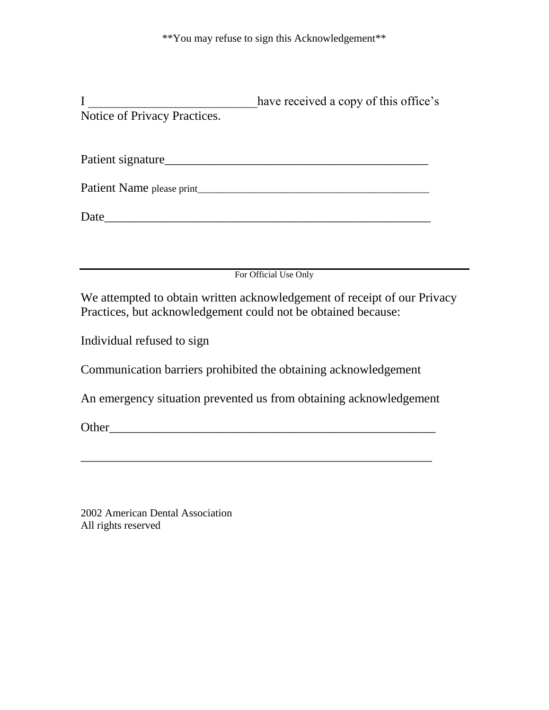|                              | have received a copy of this office's |
|------------------------------|---------------------------------------|
| Notice of Privacy Practices. |                                       |
|                              |                                       |
| Patient signature            |                                       |
| Patient Name please print    |                                       |
| Date                         |                                       |
|                              |                                       |

For Official Use Only

We attempted to obtain written acknowledgement of receipt of our Privacy Practices, but acknowledgement could not be obtained because:

Individual refused to sign

Communication barriers prohibited the obtaining acknowledgement

An emergency situation prevented us from obtaining acknowledgement

\_\_\_\_\_\_\_\_\_\_\_\_\_\_\_\_\_\_\_\_\_\_\_\_\_\_\_\_\_\_\_\_\_\_\_\_\_\_\_\_\_\_\_\_\_\_\_\_\_\_\_\_\_\_\_\_

Other\_\_\_\_\_\_\_\_\_\_\_\_\_\_\_\_\_\_\_\_\_\_\_\_\_\_\_\_\_\_\_\_\_\_\_\_\_\_\_\_\_\_\_\_\_\_\_\_\_\_\_\_

2002 American Dental Association All rights reserved